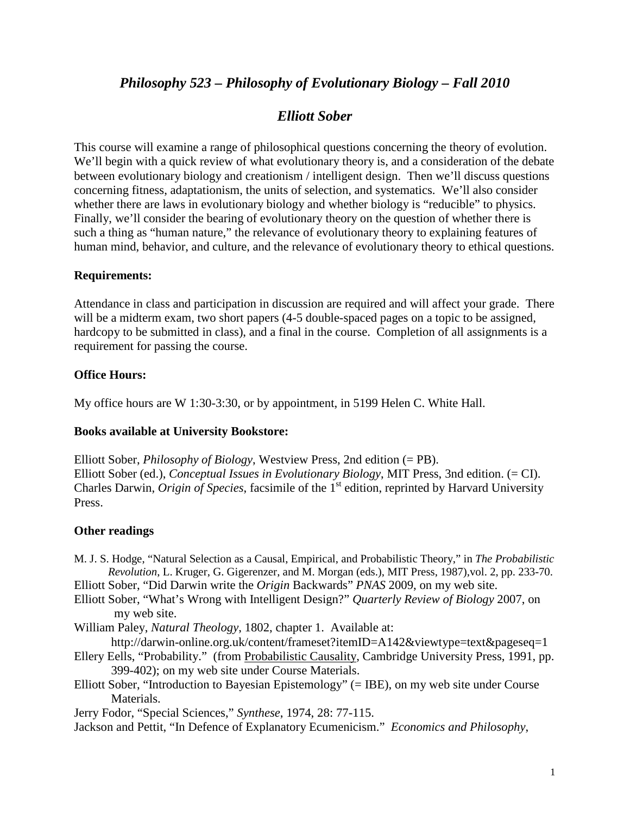# *Philosophy 523 – Philosophy of Evolutionary Biology – Fall 2010*

## *Elliott Sober*

This course will examine a range of philosophical questions concerning the theory of evolution. We'll begin with a quick review of what evolutionary theory is, and a consideration of the debate between evolutionary biology and creationism / intelligent design. Then we'll discuss questions concerning fitness, adaptationism, the units of selection, and systematics. We'll also consider whether there are laws in evolutionary biology and whether biology is "reducible" to physics. Finally, we'll consider the bearing of evolutionary theory on the question of whether there is such a thing as "human nature," the relevance of evolutionary theory to explaining features of human mind, behavior, and culture, and the relevance of evolutionary theory to ethical questions.

### **Requirements:**

Attendance in class and participation in discussion are required and will affect your grade. There will be a midterm exam, two short papers  $(4-5$  double-spaced pages on a topic to be assigned, hardcopy to be submitted in class), and a final in the course. Completion of all assignments is a requirement for passing the course.

#### **Office Hours:**

My office hours are W 1:30-3:30, or by appointment, in 5199 Helen C. White Hall.

#### **Books available at University Bookstore:**

Elliott Sober, *Philosophy of Biology*, Westview Press, 2nd edition (= PB). Elliott Sober (ed.), *Conceptual Issues in Evolutionary Biology*, MIT Press, 3nd edition. (= CI). Charles Darwin, *Origin of Species*, facsimile of the 1<sup>st</sup> edition, reprinted by Harvard University Press.

### **Other readings**

M. J. S. Hodge, "Natural Selection as a Causal, Empirical, and Probabilistic Theory," in *The Probabilistic Revolution*, L. Kruger, G. Gigerenzer, and M. Morgan (eds.), MIT Press, 1987),vol. 2, pp. 233-70.

Elliott Sober, "Did Darwin write the *Origin* Backwards" *PNAS* 2009, on my web site.

- Elliott Sober, "What's Wrong with Intelligent Design?" *Quarterly Review of Biology* 2007, on my web site.
- William Paley, *Natural Theology*, 1802, chapter 1. Available at:

http://darwin-online.org.uk/content/frameset?itemID=A142&viewtype=text&pageseq=1

- Ellery Eells, "Probability." (from Probabilistic Causality, Cambridge University Press, 1991, pp. 399-402); on my web site under Course Materials.
- Elliott Sober, "Introduction to Bayesian Epistemology" (= IBE), on my web site under Course Materials.

Jerry Fodor, "Special Sciences," *Synthese*, 1974, 28: 77-115.

Jackson and Pettit, "In Defence of Explanatory Ecumenicism." *Economics and Philosophy*,